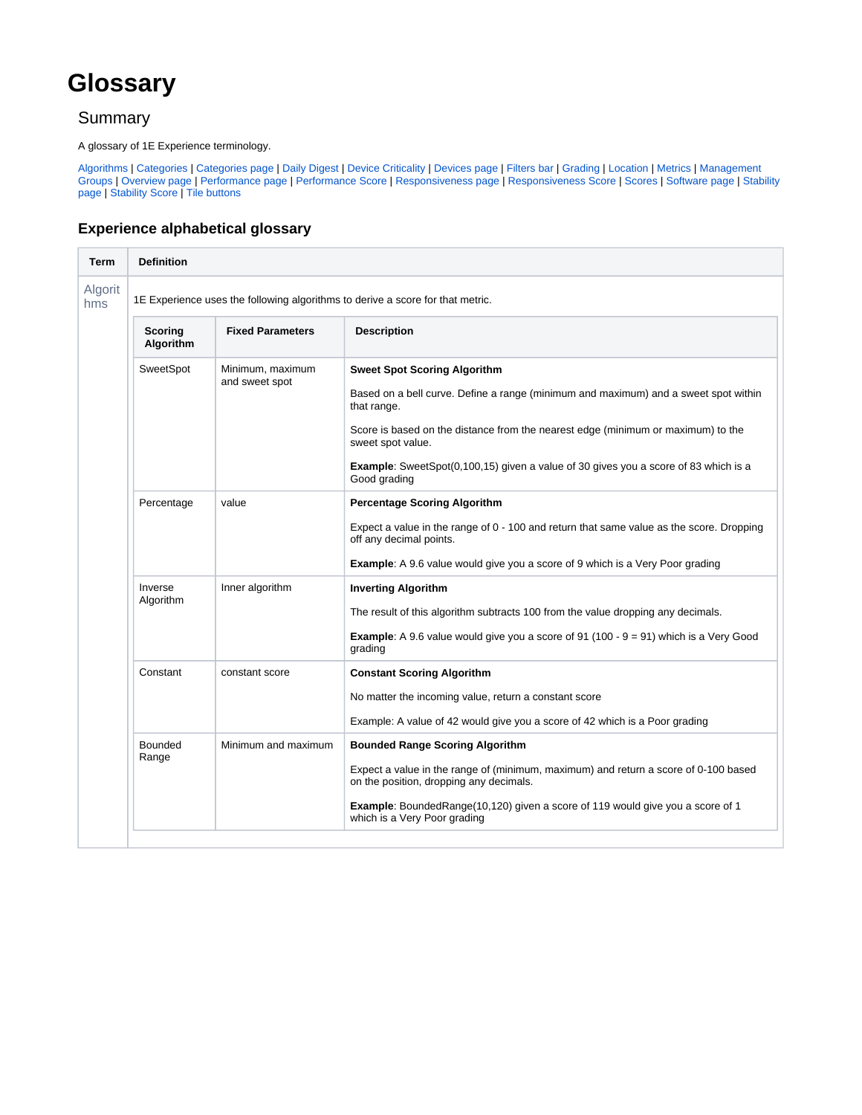## **Glossary**

## **Summary**

A glossary of 1E Experience terminology.

[Algorithms](#page-0-0) | [Categories](#page-1-0) | [Categories page](#page-1-1) | [Daily Digest](#page-1-2) | [Device Criticality](#page-1-3) | [Devices page](#page-1-4) | [Filters bar](#page-1-5) | [Grading](#page-2-0) | [Location](#page-2-1) | [Metrics](#page-2-2) | [Management](#page-3-0)  [Groups](#page-3-0) | [Overview page](#page-4-0) | [Performance page](#page-4-1) | [Performance Score](#page-4-2) | [Responsiveness page](#page-4-3) | [Responsiveness Score](#page-4-4) | [Scores](#page-4-5) | [Software page](#page-4-6) | [Stability](#page-4-7)  [page](#page-4-7) | [Stability Score](#page-4-8) | [Tile buttons](#page-4-9)

## **Experience alphabetical glossary**

<span id="page-0-0"></span>

| <b>Term</b>    | <b>Definition</b>                                                              |                                    |                                                                                                                                                                                                                                                                                                                                                                  |  |  |
|----------------|--------------------------------------------------------------------------------|------------------------------------|------------------------------------------------------------------------------------------------------------------------------------------------------------------------------------------------------------------------------------------------------------------------------------------------------------------------------------------------------------------|--|--|
| Algorit<br>hms | 1E Experience uses the following algorithms to derive a score for that metric. |                                    |                                                                                                                                                                                                                                                                                                                                                                  |  |  |
|                | <b>Scoring</b><br>Algorithm                                                    | <b>Fixed Parameters</b>            | <b>Description</b>                                                                                                                                                                                                                                                                                                                                               |  |  |
|                | SweetSpot                                                                      | Minimum, maximum<br>and sweet spot | <b>Sweet Spot Scoring Algorithm</b><br>Based on a bell curve. Define a range (minimum and maximum) and a sweet spot within<br>that range.<br>Score is based on the distance from the nearest edge (minimum or maximum) to the<br>sweet spot value.<br><b>Example:</b> SweetSpot(0,100,15) given a value of 30 gives you a score of 83 which is a<br>Good grading |  |  |
|                | Percentage                                                                     | value                              | <b>Percentage Scoring Algorithm</b><br>Expect a value in the range of 0 - 100 and return that same value as the score. Dropping<br>off any decimal points.<br><b>Example:</b> A 9.6 value would give you a score of 9 which is a Very Poor grading                                                                                                               |  |  |
|                | Inverse<br>Algorithm                                                           | Inner algorithm                    | <b>Inverting Algorithm</b><br>The result of this algorithm subtracts 100 from the value dropping any decimals.<br><b>Example:</b> A 9.6 value would give you a score of 91 (100 - $9 = 91$ ) which is a Very Good<br>grading                                                                                                                                     |  |  |
|                | Constant                                                                       | constant score                     | <b>Constant Scoring Algorithm</b><br>No matter the incoming value, return a constant score<br>Example: A value of 42 would give you a score of 42 which is a Poor grading                                                                                                                                                                                        |  |  |
|                | Bounded<br>Range                                                               | Minimum and maximum                | <b>Bounded Range Scoring Algorithm</b><br>Expect a value in the range of (minimum, maximum) and return a score of 0-100 based<br>on the position, dropping any decimals.<br><b>Example:</b> BoundedRange(10,120) given a score of 119 would give you a score of 1<br>which is a Very Poor grading                                                                |  |  |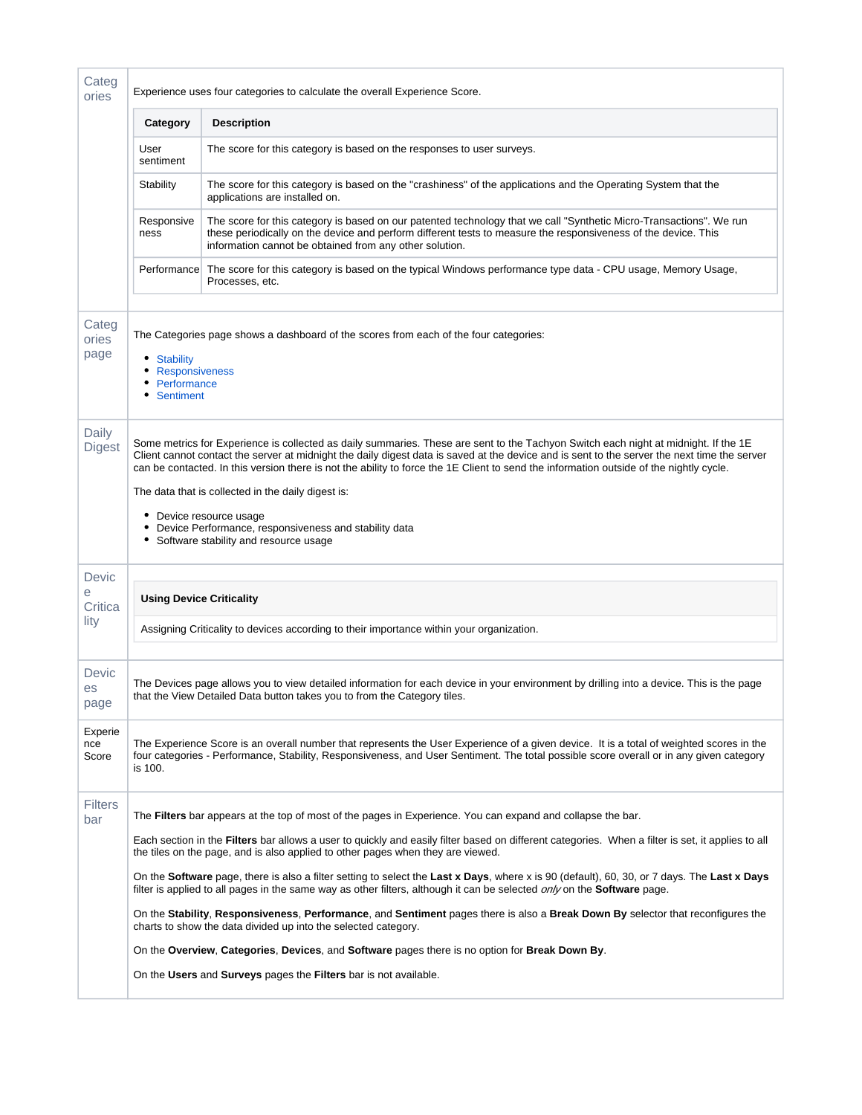<span id="page-1-5"></span><span id="page-1-4"></span><span id="page-1-3"></span><span id="page-1-2"></span><span id="page-1-1"></span><span id="page-1-0"></span>

| Categ<br>ories          | Experience uses four categories to calculate the overall Experience Score.                                                                                                                                                                                                                                                                                                                                                                                                                                                                                                                                            |                                                                                                                                                                                                                                                                                                                                                                                                                                                                                                                                                                                                                                                                                                                                                                                                                                                                                                                                                                                                                        |  |  |  |  |
|-------------------------|-----------------------------------------------------------------------------------------------------------------------------------------------------------------------------------------------------------------------------------------------------------------------------------------------------------------------------------------------------------------------------------------------------------------------------------------------------------------------------------------------------------------------------------------------------------------------------------------------------------------------|------------------------------------------------------------------------------------------------------------------------------------------------------------------------------------------------------------------------------------------------------------------------------------------------------------------------------------------------------------------------------------------------------------------------------------------------------------------------------------------------------------------------------------------------------------------------------------------------------------------------------------------------------------------------------------------------------------------------------------------------------------------------------------------------------------------------------------------------------------------------------------------------------------------------------------------------------------------------------------------------------------------------|--|--|--|--|
|                         | Category                                                                                                                                                                                                                                                                                                                                                                                                                                                                                                                                                                                                              | <b>Description</b>                                                                                                                                                                                                                                                                                                                                                                                                                                                                                                                                                                                                                                                                                                                                                                                                                                                                                                                                                                                                     |  |  |  |  |
|                         | User<br>sentiment                                                                                                                                                                                                                                                                                                                                                                                                                                                                                                                                                                                                     | The score for this category is based on the responses to user surveys.                                                                                                                                                                                                                                                                                                                                                                                                                                                                                                                                                                                                                                                                                                                                                                                                                                                                                                                                                 |  |  |  |  |
|                         | Stability                                                                                                                                                                                                                                                                                                                                                                                                                                                                                                                                                                                                             | The score for this category is based on the "crashiness" of the applications and the Operating System that the<br>applications are installed on.                                                                                                                                                                                                                                                                                                                                                                                                                                                                                                                                                                                                                                                                                                                                                                                                                                                                       |  |  |  |  |
|                         | Responsive<br>ness                                                                                                                                                                                                                                                                                                                                                                                                                                                                                                                                                                                                    | The score for this category is based on our patented technology that we call "Synthetic Micro-Transactions". We run<br>these periodically on the device and perform different tests to measure the responsiveness of the device. This<br>information cannot be obtained from any other solution.                                                                                                                                                                                                                                                                                                                                                                                                                                                                                                                                                                                                                                                                                                                       |  |  |  |  |
|                         | Performance                                                                                                                                                                                                                                                                                                                                                                                                                                                                                                                                                                                                           | The score for this category is based on the typical Windows performance type data - CPU usage, Memory Usage,<br>Processes, etc.                                                                                                                                                                                                                                                                                                                                                                                                                                                                                                                                                                                                                                                                                                                                                                                                                                                                                        |  |  |  |  |
| Categ<br>ories<br>page  | The Categories page shows a dashboard of the scores from each of the four categories:<br>• Stability<br>• Responsiveness<br>• Performance<br>• Sentiment                                                                                                                                                                                                                                                                                                                                                                                                                                                              |                                                                                                                                                                                                                                                                                                                                                                                                                                                                                                                                                                                                                                                                                                                                                                                                                                                                                                                                                                                                                        |  |  |  |  |
| Daily<br><b>Digest</b>  | Some metrics for Experience is collected as daily summaries. These are sent to the Tachyon Switch each night at midnight. If the 1E<br>Client cannot contact the server at midnight the daily digest data is saved at the device and is sent to the server the next time the server<br>can be contacted. In this version there is not the ability to force the 1E Client to send the information outside of the nightly cycle.<br>The data that is collected in the daily digest is:<br>• Device resource usage<br>• Device Performance, responsiveness and stability data<br>• Software stability and resource usage |                                                                                                                                                                                                                                                                                                                                                                                                                                                                                                                                                                                                                                                                                                                                                                                                                                                                                                                                                                                                                        |  |  |  |  |
| Devic<br>e              | <b>Using Device Criticality</b>                                                                                                                                                                                                                                                                                                                                                                                                                                                                                                                                                                                       |                                                                                                                                                                                                                                                                                                                                                                                                                                                                                                                                                                                                                                                                                                                                                                                                                                                                                                                                                                                                                        |  |  |  |  |
| Critica<br>lity         | Assigning Criticality to devices according to their importance within your organization.                                                                                                                                                                                                                                                                                                                                                                                                                                                                                                                              |                                                                                                                                                                                                                                                                                                                                                                                                                                                                                                                                                                                                                                                                                                                                                                                                                                                                                                                                                                                                                        |  |  |  |  |
| Devic<br>es<br>page     |                                                                                                                                                                                                                                                                                                                                                                                                                                                                                                                                                                                                                       | The Devices page allows you to view detailed information for each device in your environment by drilling into a device. This is the page<br>that the View Detailed Data button takes you to from the Category tiles.                                                                                                                                                                                                                                                                                                                                                                                                                                                                                                                                                                                                                                                                                                                                                                                                   |  |  |  |  |
| Experie<br>nce<br>Score | The Experience Score is an overall number that represents the User Experience of a given device. It is a total of weighted scores in the<br>four categories - Performance, Stability, Responsiveness, and User Sentiment. The total possible score overall or in any given category<br>is 100.                                                                                                                                                                                                                                                                                                                        |                                                                                                                                                                                                                                                                                                                                                                                                                                                                                                                                                                                                                                                                                                                                                                                                                                                                                                                                                                                                                        |  |  |  |  |
| <b>Filters</b><br>bar   |                                                                                                                                                                                                                                                                                                                                                                                                                                                                                                                                                                                                                       | The Filters bar appears at the top of most of the pages in Experience. You can expand and collapse the bar.<br>Each section in the <b>Filters</b> bar allows a user to quickly and easily filter based on different categories. When a filter is set, it applies to all<br>the tiles on the page, and is also applied to other pages when they are viewed.<br>On the Software page, there is also a filter setting to select the Last x Days, where x is 90 (default), 60, 30, or 7 days. The Last x Days<br>filter is applied to all pages in the same way as other filters, although it can be selected only on the <b>Software</b> page.<br>On the Stability, Responsiveness, Performance, and Sentiment pages there is also a Break Down By selector that reconfigures the<br>charts to show the data divided up into the selected category.<br>On the Overview, Categories, Devices, and Software pages there is no option for Break Down By.<br>On the Users and Surveys pages the Filters bar is not available. |  |  |  |  |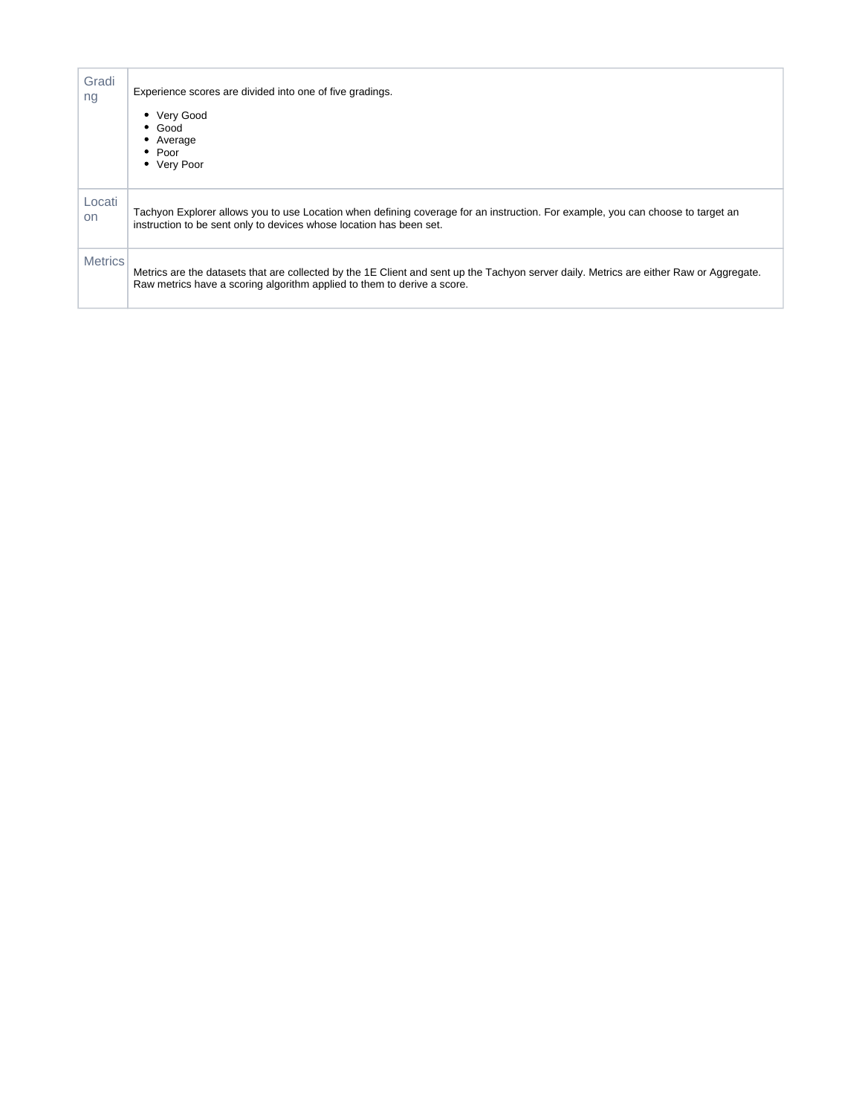<span id="page-2-2"></span><span id="page-2-1"></span><span id="page-2-0"></span>

| Gradi<br>ng         | Experience scores are divided into one of five gradings.<br>• Very Good<br>$\bullet$ Good<br>• Average<br>$\bullet$ Poor<br>• Very Poor                                                                            |
|---------------------|--------------------------------------------------------------------------------------------------------------------------------------------------------------------------------------------------------------------|
| Locati<br><b>on</b> | Tachyon Explorer allows you to use Location when defining coverage for an instruction. For example, you can choose to target an<br>instruction to be sent only to devices whose location has been set.             |
| <b>Metrics</b>      | Metrics are the datasets that are collected by the 1E Client and sent up the Tachyon server daily. Metrics are either Raw or Aggregate.<br>Raw metrics have a scoring algorithm applied to them to derive a score. |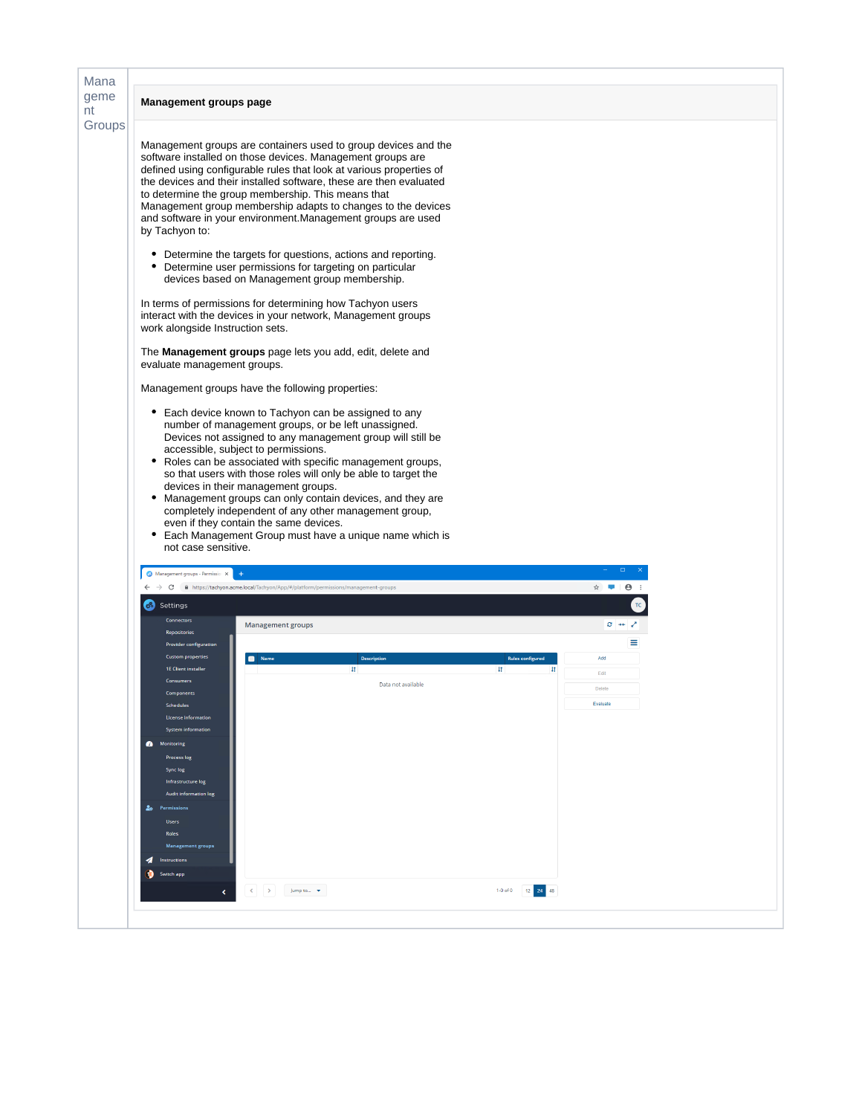<span id="page-3-0"></span>

| Management groups page                                                                                                                 |                                                                                                                                                                                                                                                                                                                                                                                                                                                                                                                                                                 |  |
|----------------------------------------------------------------------------------------------------------------------------------------|-----------------------------------------------------------------------------------------------------------------------------------------------------------------------------------------------------------------------------------------------------------------------------------------------------------------------------------------------------------------------------------------------------------------------------------------------------------------------------------------------------------------------------------------------------------------|--|
|                                                                                                                                        |                                                                                                                                                                                                                                                                                                                                                                                                                                                                                                                                                                 |  |
| by Tachyon to:                                                                                                                         | Management groups are containers used to group devices and the<br>software installed on those devices. Management groups are<br>defined using configurable rules that look at various properties of<br>the devices and their installed software, these are then evaluated<br>to determine the group membership. This means that<br>Management group membership adapts to changes to the devices<br>and software in your environment. Management groups are used                                                                                                 |  |
| ٠                                                                                                                                      | Determine the targets for questions, actions and reporting.<br>Determine user permissions for targeting on particular<br>devices based on Management group membership.                                                                                                                                                                                                                                                                                                                                                                                          |  |
| work alongside Instruction sets.                                                                                                       | In terms of permissions for determining how Tachyon users<br>interact with the devices in your network, Management groups                                                                                                                                                                                                                                                                                                                                                                                                                                       |  |
| evaluate management groups.                                                                                                            | The <b>Management groups</b> page lets you add, edit, delete and                                                                                                                                                                                                                                                                                                                                                                                                                                                                                                |  |
|                                                                                                                                        | Management groups have the following properties:                                                                                                                                                                                                                                                                                                                                                                                                                                                                                                                |  |
| ٠                                                                                                                                      | Each device known to Tachyon can be assigned to any<br>number of management groups, or be left unassigned.<br>Devices not assigned to any management group will still be<br>accessible, subject to permissions.                                                                                                                                                                                                                                                                                                                                                 |  |
| ٠<br>٠<br>not case sensitive.<br>Management groups - Permissio: X<br>Settings<br>ರೆ !<br><b>Connectors</b>                             | • Roles can be associated with specific management groups,<br>so that users with those roles will only be able to target the<br>devices in their management groups.<br>Management groups can only contain devices, and they are<br>completely independent of any other management group,<br>even if they contain the same devices.<br>Each Management Group must have a unique name which is<br>$\boldsymbol{\Theta}$<br>$\rightarrow$ $\mathbf{C}$   $\hat{\mathbf{m}}$ https://tachyon.acme.local/Tachyon/App/#/platform/permissions/management-groups<br>☆ ■ |  |
|                                                                                                                                        | $\sigma \rightarrow \nu$<br>Management groups                                                                                                                                                                                                                                                                                                                                                                                                                                                                                                                   |  |
| <b>1F Client installer</b><br>Consumers<br><b>Schedules</b><br>License information<br><b>System information</b><br><b>Monitoring</b>   | Name<br><b>Rules configured</b><br>Add<br><b>Description</b><br>4t<br>11<br>Edit<br>Data not available<br>Delete<br>Evaluate                                                                                                                                                                                                                                                                                                                                                                                                                                    |  |
| <b>Process log</b><br>Sync log<br>Infrastructure log<br><b>Audit information log</b><br><b>20</b> Permissions<br><b>Users</b><br>Roles |                                                                                                                                                                                                                                                                                                                                                                                                                                                                                                                                                                 |  |
| <b>Management groups</b><br>Instructions                                                                                               |                                                                                                                                                                                                                                                                                                                                                                                                                                                                                                                                                                 |  |